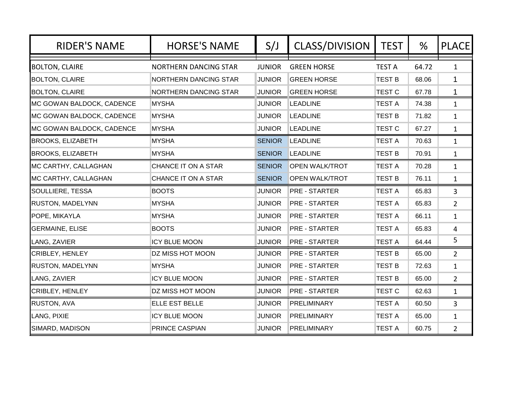| <b>RIDER'S NAME</b>       | <b>HORSE'S NAME</b>          | S/J           | <b>CLASS/DIVISION</b> | <b>TEST</b>   | %     | <b>PLACE</b>   |
|---------------------------|------------------------------|---------------|-----------------------|---------------|-------|----------------|
| <b>BOLTON, CLAIRE</b>     | <b>NORTHERN DANCING STAR</b> | <b>JUNIOR</b> | <b>GREEN HORSE</b>    | <b>TEST A</b> | 64.72 | $\mathbf{1}$   |
| <b>BOLTON, CLAIRE</b>     | NORTHERN DANCING STAR        | <b>JUNIOR</b> | <b>GREEN HORSE</b>    | <b>TEST B</b> | 68.06 | 1              |
| <b>BOLTON, CLAIRE</b>     | NORTHERN DANCING STAR        | <b>JUNIOR</b> | <b>GREEN HORSE</b>    | <b>TEST C</b> | 67.78 | $\mathbf{1}$   |
| MC GOWAN BALDOCK, CADENCE | <b>MYSHA</b>                 | <b>JUNIOR</b> | <b>LEADLINE</b>       | <b>TEST A</b> | 74.38 | $\mathbf{1}$   |
| MC GOWAN BALDOCK, CADENCE | <b>MYSHA</b>                 | <b>JUNIOR</b> | <b>LEADLINE</b>       | <b>TEST B</b> | 71.82 | $\mathbf{1}$   |
| MC GOWAN BALDOCK, CADENCE | <b>MYSHA</b>                 | <b>JUNIOR</b> | <b>LEADLINE</b>       | <b>TEST C</b> | 67.27 | $\mathbf{1}$   |
| <b>BROOKS, ELIZABETH</b>  | <b>MYSHA</b>                 | <b>SENIOR</b> | <b>LEADLINE</b>       | <b>TEST A</b> | 70.63 | $\mathbf{1}$   |
| <b>BROOKS, ELIZABETH</b>  | <b>MYSHA</b>                 | <b>SENIOR</b> | <b>LEADLINE</b>       | <b>TEST B</b> | 70.91 | $\mathbf{1}$   |
| MC CARTHY, CALLAGHAN      | CHANCE IT ON A STAR          | <b>SENIOR</b> | <b>OPEN WALK/TROT</b> | <b>TEST A</b> | 70.28 | $\mathbf{1}$   |
| MC CARTHY, CALLAGHAN      | CHANCE IT ON A STAR          | <b>SENIOR</b> | <b>OPEN WALK/TROT</b> | <b>TEST B</b> | 76.11 | $\mathbf{1}$   |
| SOULLIERE, TESSA          | <b>BOOTS</b>                 | <b>JUNIOR</b> | <b>PRE - STARTER</b>  | <b>TEST A</b> | 65.83 | $\overline{3}$ |
| RUSTON, MADELYNN          | <b>MYSHA</b>                 | <b>JUNIOR</b> | PRE - STARTER         | <b>TEST A</b> | 65.83 | $\overline{2}$ |
| POPE, MIKAYLA             | <b>MYSHA</b>                 | <b>JUNIOR</b> | <b>PRE - STARTER</b>  | <b>TEST A</b> | 66.11 | $\mathbf{1}$   |
| <b>GERMAINE, ELISE</b>    | <b>BOOTS</b>                 | <b>JUNIOR</b> | PRE - STARTER         | <b>TEST A</b> | 65.83 | 4              |
| LANG, ZAVIER              | <b>ICY BLUE MOON</b>         | <b>JUNIOR</b> | <b>PRE - STARTER</b>  | <b>TEST A</b> | 64.44 | 5              |
| <b>CRIBLEY, HENLEY</b>    | DZ MISS HOT MOON             | <b>JUNIOR</b> | <b>PRE - STARTER</b>  | <b>TEST B</b> | 65.00 | $\overline{2}$ |
| RUSTON, MADELYNN          | <b>MYSHA</b>                 | <b>JUNIOR</b> | <b>PRE - STARTER</b>  | <b>TEST B</b> | 72.63 | $\mathbf{1}$   |
| LANG, ZAVIER              | <b>ICY BLUE MOON</b>         | <b>JUNIOR</b> | <b>PRE - STARTER</b>  | <b>TEST B</b> | 65.00 | $\overline{2}$ |
| CRIBLEY, HENLEY           | DZ MISS HOT MOON             | <b>JUNIOR</b> | PRE - STARTER         | <b>TEST C</b> | 62.63 | $\mathbf{1}$   |
| <b>RUSTON, AVA</b>        | ELLE EST BELLE               | <b>JUNIOR</b> | PRELIMINARY           | <b>TEST A</b> | 60.50 | $\overline{3}$ |
| LANG, PIXIE               | <b>ICY BLUE MOON</b>         | <b>JUNIOR</b> | PRELIMINARY           | <b>TEST A</b> | 65.00 | $\mathbf{1}$   |
| SIMARD, MADISON           | PRINCE CASPIAN               | <b>JUNIOR</b> | PRELIMINARY           | <b>TEST A</b> | 60.75 | $\overline{2}$ |